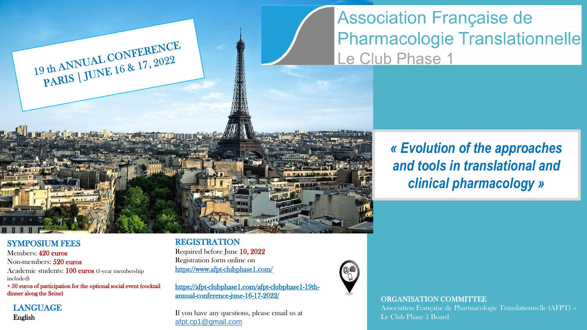**Association Française de Pharmacologie Translationnelle** Le Club Phase 1

> *« Evolution of the approaches and tools in translational and clinical pharmacology »*

### SYMPOSIUM FEES

Members: 420 euros Non-members: 520 euros Academic students: 100 euros (1-year membership included)

+ 50 euros of participation for the optional social event (cocktail dinner along the Seine)

19 th ANNUAL CONFERENCE 19 th ANNUAL CONFERENCE

LANGUAGE English

### REGISTRATION

Required before June 10, 2022 Registration form online on <https://www.afpt-clubphase1.com/>

https://afpt-clubphase1.com/afpt-clubphase1-19thannual-conference-june-16-17-2022/

If you have any questions, please email us at [afpt.cp1@gmail.com](mailto:afpt.cp1@gmail.com)



#### ORGANISATION COMMITTEE

Association Française de Pharmacologie Translationnelle (AFPT) – Le Club Phase 1 Board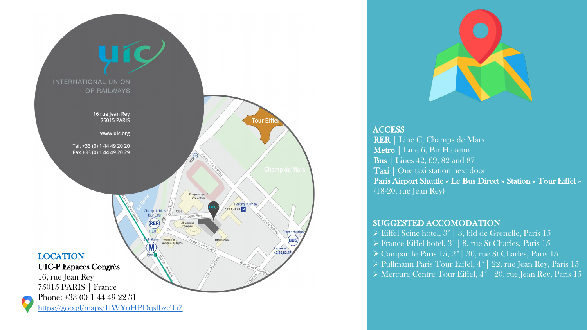



**ACCESS** RER | Line C, Champs de Mars Metro | Line 6, Bir Hakeim Bus | Lines 42, 69, 82 and 87 Taxi | One taxi station next door Paris Airport Shuttle « Le Bus Direct » Station « Tour Eiffel » (18 -20, rue Jean Rey)

### SUGGESTED ACCOMODATION

- ➢ Eiffel Seine hotel, 3\*| 3, bld de Grenelle, Paris 15
- ➢ France Eiffel hotel, 3\*| 8, rue St Charles, Paris 15
- ➢ Campanile Paris 15, 2\*| 30, rue St Charles, Paris 15
- ➢ Pullmann Paris Tour Eiffel, 4\*| 22, rue Jean Rey, Paris 15
- ➢ Mercure Centre Tour Eiffel, 4\*| 20, rue Jean Rey, Paris 15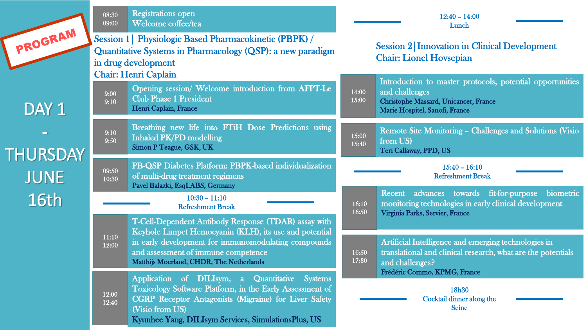|                                         | <b>Registrations open</b><br>08:30<br>09:00<br>Welcome coffee/tea<br><b>Session 1   Physiologic Based Pharmacokinetic (PBPK) /</b><br>Quantitative Systems in Pharmacology (QSP): a new paradigm<br>in drug development<br><b>Chair: Henri Caplain</b> |                                                                                                                                                                                                                                                                                               | $12:40 - 14:00$<br>Lunch                                                              |                                                                                                                                                               |
|-----------------------------------------|--------------------------------------------------------------------------------------------------------------------------------------------------------------------------------------------------------------------------------------------------------|-----------------------------------------------------------------------------------------------------------------------------------------------------------------------------------------------------------------------------------------------------------------------------------------------|---------------------------------------------------------------------------------------|---------------------------------------------------------------------------------------------------------------------------------------------------------------|
| PROGRAM                                 |                                                                                                                                                                                                                                                        |                                                                                                                                                                                                                                                                                               | <b>Session 2 Innovation in Clinical Development</b><br><b>Chair: Lionel Hovsepian</b> |                                                                                                                                                               |
| DAY 1<br><b>THURSDAY</b><br><b>JUNE</b> | 9:00<br>9:10                                                                                                                                                                                                                                           | Opening session/ Welcome introduction from AFPT-Le<br><b>Club Phase 1 President</b><br>Henri Caplain, France                                                                                                                                                                                  | 14:00<br>15:00                                                                        | Introduction to master protocols, potential opportunities<br>and challenges<br><b>Christophe Massard, Unicancer, France</b><br>Marie Hospitel, Sanofi, France |
|                                         | 9:10<br>9:50                                                                                                                                                                                                                                           | Breathing new life into FTiH Dose Predictions using<br><b>Inhaled PK/PD modelling</b><br>Simon P Teague, GSK, UK                                                                                                                                                                              | 15:00<br>15:40                                                                        | Remote Site Monitoring - Challenges and Solutions (Visio<br>from US)<br>Teri Callaway, PPD, US                                                                |
|                                         | 09:50<br>10:30                                                                                                                                                                                                                                         | PB-QSP Diabetes Platform: PBPK-based individualization<br>of multi-drug treatment regimens<br>Pavel Balazki, EsqLABS, Germany                                                                                                                                                                 |                                                                                       | $15:40 - 16:10$<br><b>Refreshment Break</b>                                                                                                                   |
| 16th                                    | $10:30 - 11:10$<br><b>Refreshment Break</b>                                                                                                                                                                                                            |                                                                                                                                                                                                                                                                                               | 16:10<br>16:50                                                                        | Recent advances towards fit-for-purpose biometric<br>monitoring technologies in early clinical development<br>Virginia Parks, Servier, France                 |
|                                         | 11:10<br>12:00                                                                                                                                                                                                                                         | T-Cell-Dependent Antibody Response (TDAR) assay with<br>Keyhole Limpet Hemocyanin (KLH), its use and potential<br>in early development for immunomodulating compounds<br>and assessment of immune competence<br>Matthijs Moerland, CHDR, The Netherlands                                      | 16:50<br>17:30                                                                        | Artificial Intelligence and emerging technologies in<br>translational and clinical research, what are the potentials<br>and challenges?                       |
|                                         | 12:00<br>12:40                                                                                                                                                                                                                                         | <b>Application</b><br>DILIsym, a<br><b>Quantitative</b><br><b>Systems</b><br>$\sigma f$<br>Toxicology Software Platform, in the Early Assessment of<br><b>CGRP Receptor Antagonists (Migraine) for Liver Safety</b><br>(Visio from US)<br>Kyunhee Yang, DILIsym Services, SimulationsPlus, US |                                                                                       | Frédéric Commo, KPMG, France<br>18h30<br>Cocktail dinner along the<br><b>Seine</b>                                                                            |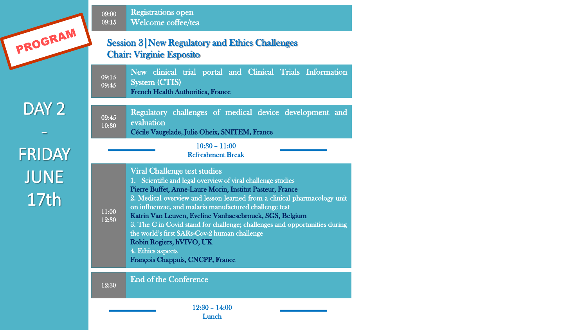

## DAY<sub>2</sub> -

FRIDAY JUNE 17th

09:00 09:15 Registrations open Welcome coffee/tea

### Session 3|New Regulatory and Ethics Challenges Chair: Virginie Esposito

New clinical trial portal and Clinical Trials Information System (CTIS) French Health Authorities, France 09:15 09:45

09:45 10:30 Regulatory challenges of medical device development and evaluation Cécile Vaugelade, Julie Oheix, SNITEM, France

#### 10:30 – 11:00 Refreshment Break

Viral Challenge test studies 1. Scientific and legal overview of viral challenge studies Pierre Buffet, Anne-Laure Morin, Institut Pasteur, France 2. Medical overview and lesson learned from a clinical pharmacology unit on influenzae, and malaria manufactured challenge test Katrin Van Leuven, Eveline Vanhaesebrouck, SGS, Belgium 3. The C in Covid stand for challenge; challenges and opportunities during the world's first SARs-Cov-2 human challenge Robin Rogiers, hVIVO, UK 4. Ethics aspects François Chappuis, CNCPP, France

End of the Conference

12:30

11:00 12:30

> 12:30 – 14:00 Lunch